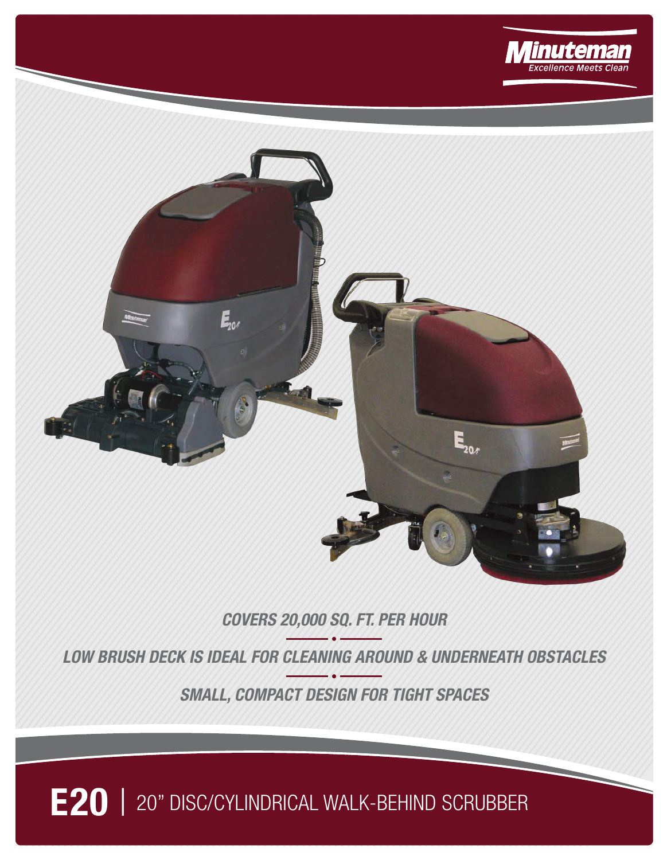



## **COVERS 20,000 SQ. FT. PER HOUR**

**LOW BRUSH DECK IS IDEAL FOR CLEANING AROUND & UNDERNEATH OBSTACLES**

**SMALL, COMPACT DESIGN FOR TIGHT SPACES**